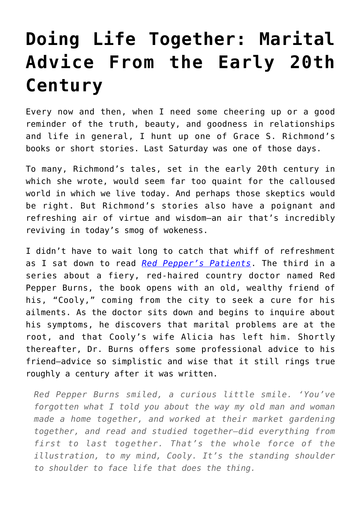## **[Doing Life Together: Marital](https://intellectualtakeout.org/2022/04/doing-life-together-marital-advice-from-the-early-20th-century/) [Advice From the Early 20th](https://intellectualtakeout.org/2022/04/doing-life-together-marital-advice-from-the-early-20th-century/) [Century](https://intellectualtakeout.org/2022/04/doing-life-together-marital-advice-from-the-early-20th-century/)**

Every now and then, when I need some cheering up or a good reminder of the truth, beauty, and goodness in relationships and life in general, I hunt up one of Grace S. Richmond's books or short stories. Last Saturday was one of those days.

To many, Richmond's tales, set in the early 20th century in which she wrote, would seem far too quaint for the calloused world in which we live today. And perhaps those skeptics would be right. But Richmond's stories also have a poignant and refreshing air of virtue and wisdom—an air that's incredibly reviving in today's smog of wokeness.

I didn't have to wait long to catch that whiff of refreshment as I sat down to read *[Red Pepper's Patients](https://www.gutenberg.org/files/16115/16115-h/16115-h.htm)*. The third in a series about a fiery, red-haired country doctor named Red Pepper Burns, the book opens with an old, wealthy friend of his, "Cooly," coming from the city to seek a cure for his ailments. As the doctor sits down and begins to inquire about his symptoms, he discovers that marital problems are at the root, and that Cooly's wife Alicia has left him. Shortly thereafter, Dr. Burns offers some professional advice to his friend—advice so simplistic and wise that it still rings true roughly a century after it was written.

*Red Pepper Burns smiled, a curious little smile. 'You've forgotten what I told you about the way my old man and woman made a home together, and worked at their market gardening together, and read and studied together—did everything from first to last together. That's the whole force of the illustration, to my mind, Cooly. It's the standing shoulder to shoulder to face life that does the thing.*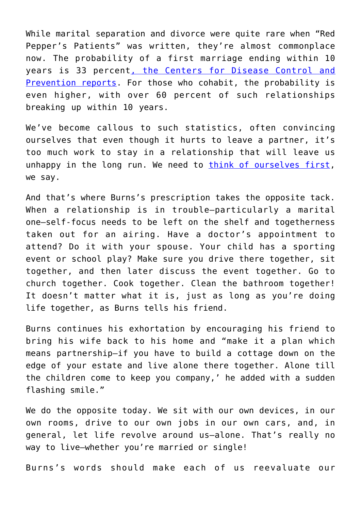While marital separation and divorce were quite rare when "Red Pepper's Patients" was written, they're almost commonplace now. The probability of a first marriage ending within 10 years is 33 percent[, the Centers for Disease Control and](https://www.cdc.gov/nchs/pressroom/02news/div_mar_cohab.htm) [Prevention reports](https://www.cdc.gov/nchs/pressroom/02news/div_mar_cohab.htm). For those who cohabit, the probability is even higher, with over 60 percent of such relationships breaking up within 10 years.

We've become callous to such statistics, often convincing ourselves that even though it hurts to leave a partner, it's too much work to stay in a relationship that will leave us unhappy in the long run. We need to [think of ourselves first,](https://www.intellectualtakeout.org/breaking-up-is-easy-to-do--if-you-shack-up-first-/) we say.

And that's where Burns's prescription takes the opposite tack. When a relationship is in trouble—particularly a marital one—self-focus needs to be left on the shelf and togetherness taken out for an airing. Have a doctor's appointment to attend? Do it with your spouse. Your child has a sporting event or school play? Make sure you drive there together, sit together, and then later discuss the event together. Go to church together. Cook together. Clean the bathroom together! It doesn't matter what it is, just as long as you're doing life together, as Burns tells his friend.

Burns continues his exhortation by encouraging his friend to bring his wife back to his home and "make it a plan which means partnership—if you have to build a cottage down on the edge of your estate and live alone there together. Alone till the children come to keep you company,' he added with a sudden flashing smile."

We do the opposite today. We sit with our own devices, in our own rooms, drive to our own jobs in our own cars, and, in general, let life revolve around us—alone. That's really no way to live—whether you're married or single!

Burns's words should make each of us reevaluate our